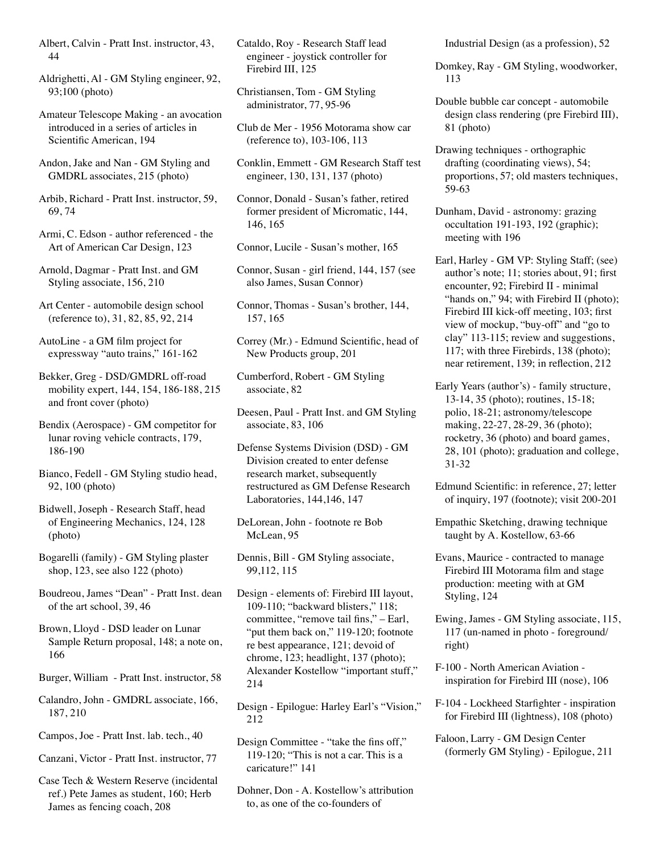Albert, Calvin - Pratt Inst. instructor, 43, 44

Aldrighetti, Al - GM Styling engineer, 92, 93;100 (photo)

Amateur Telescope Making - an avocation introduced in a series of articles in Scientific American, 194

Andon, Jake and Nan - GM Styling and GMDRL associates, 215 (photo)

Arbib, Richard - Pratt Inst. instructor, 59, 69, 74

Armi, C. Edson - author referenced - the Art of American Car Design, 123

Arnold, Dagmar - Pratt Inst. and GM Styling associate, 156, 210

Art Center - automobile design school (reference to), 31, 82, 85, 92, 214

AutoLine - a GM film project for expressway "auto trains," 161-162

Bekker, Greg - DSD/GMDRL off-road mobility expert, 144, 154, 186-188, 215 and front cover (photo)

Bendix (Aerospace) - GM competitor for lunar roving vehicle contracts, 179, 186-190

Bianco, Fedell - GM Styling studio head, 92, 100 (photo)

Bidwell, Joseph - Research Staff, head of Engineering Mechanics, 124, 128 (photo)

Bogarelli (family) - GM Styling plaster shop, 123, see also 122 (photo)

Boudreou, James "Dean" - Pratt Inst. dean of the art school, 39, 46

Brown, Lloyd - DSD leader on Lunar Sample Return proposal, 148; a note on, 166

Burger, William - Pratt Inst. instructor, 58

Calandro, John - GMDRL associate, 166, 187, 210

Campos, Joe - Pratt Inst. lab. tech., 40

Canzani, Victor - Pratt Inst. instructor, 77

Case Tech & Western Reserve (incidental ref.) Pete James as student, 160; Herb James as fencing coach, 208

Cataldo, Roy - Research Staff lead engineer - joystick controller for Firebird III, 125

Christiansen, Tom - GM Styling administrator, 77, 95-96

Club de Mer - 1956 Motorama show car (reference to), 103-106, 113

Conklin, Emmett - GM Research Staff test engineer, 130, 131, 137 (photo)

Connor, Donald - Susan's father, retired former president of Micromatic, 144, 146, 165

Connor, Lucile - Susan's mother, 165

Connor, Susan - girl friend, 144, 157 (see also James, Susan Connor)

Connor, Thomas - Susan's brother, 144, 157, 165

Correy (Mr.) - Edmund Scientific, head of New Products group, 201

Cumberford, Robert - GM Styling associate, 82

Deesen, Paul - Pratt Inst. and GM Styling associate, 83, 106

Defense Systems Division (DSD) - GM Division created to enter defense research market, subsequently restructured as GM Defense Research Laboratories, 144,146, 147

DeLorean, John - footnote re Bob McLean, 95

Dennis, Bill - GM Styling associate, 99,112, 115

Design - elements of: Firebird III layout, 109-110; "backward blisters," 118; committee, "remove tail fins," – Earl, "put them back on," 119-120; footnote re best appearance, 121; devoid of chrome, 123; headlight, 137 (photo); Alexander Kostellow "important stuff," 214

Design - Epilogue: Harley Earl's "Vision," 212

Design Committee - "take the fins off," 119-120; "This is not a car. This is a caricature!" 141

Dohner, Don - A. Kostellow's attribution to, as one of the co-founders of

Industrial Design (as a profession), 52

Domkey, Ray - GM Styling, woodworker, 113

Double bubble car concept - automobile design class rendering (pre Firebird III), 81 (photo)

Drawing techniques - orthographic drafting (coordinating views), 54; proportions, 57; old masters techniques, 59-63

Dunham, David - astronomy: grazing occultation 191-193, 192 (graphic); meeting with 196

Earl, Harley - GM VP: Styling Staff; (see) author's note; 11; stories about, 91; first encounter, 92; Firebird II - minimal "hands on," 94; with Firebird II (photo); Firebird III kick-off meeting, 103; first view of mockup, "buy-off" and "go to clay" 113-115; review and suggestions, 117; with three Firebirds, 138 (photo); near retirement, 139; in reflection, 212

Early Years (author's) - family structure, 13-14, 35 (photo); routines, 15-18; polio, 18-21; astronomy/telescope making, 22-27, 28-29, 36 (photo); rocketry, 36 (photo) and board games, 28, 101 (photo); graduation and college, 31-32

Edmund Scientific: in reference, 27; letter of inquiry, 197 (footnote); visit 200-201

Empathic Sketching, drawing technique taught by A. Kostellow, 63-66

Evans, Maurice - contracted to manage Firebird III Motorama film and stage production: meeting with at GM Styling, 124

Ewing, James - GM Styling associate, 115, 117 (un-named in photo - foreground/ right)

F-100 - North American Aviation inspiration for Firebird III (nose), 106

F-104 - Lockheed Starfighter - inspiration for Firebird III (lightness), 108 (photo)

Faloon, Larry - GM Design Center (formerly GM Styling) - Epilogue, 211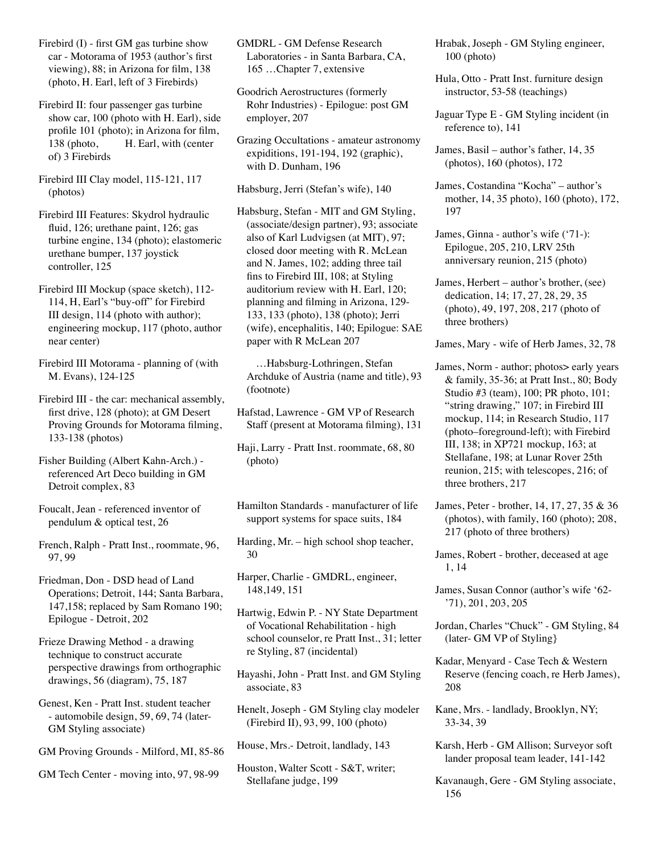Firebird (I) - first GM gas turbine show car - Motorama of 1953 (author's first viewing), 88; in Arizona for film, 138 (photo, H. Earl, left of 3 Firebirds)

Firebird II: four passenger gas turbine show car, 100 (photo with H. Earl), side profile 101 (photo); in Arizona for film, 138 (photo, H. Earl, with (center of) 3 Firebirds

Firebird III Clay model, 115-121, 117 (photos)

Firebird III Features: Skydrol hydraulic fluid, 126; urethane paint, 126; gas turbine engine, 134 (photo); elastomeric urethane bumper, 137 joystick controller, 125

Firebird III Mockup (space sketch), 112- 114, H, Earl's "buy-off" for Firebird III design, 114 (photo with author); engineering mockup, 117 (photo, author near center)

Firebird III Motorama - planning of (with M. Evans), 124-125

Firebird III - the car: mechanical assembly, first drive, 128 (photo); at GM Desert Proving Grounds for Motorama filming, 133-138 (photos)

Fisher Building (Albert Kahn-Arch.) referenced Art Deco building in GM Detroit complex, 83

Foucalt, Jean - referenced inventor of pendulum & optical test, 26

French, Ralph - Pratt Inst., roommate, 96, 97, 99

Friedman, Don - DSD head of Land Operations; Detroit, 144; Santa Barbara, 147,158; replaced by Sam Romano 190; Epilogue - Detroit, 202

Frieze Drawing Method - a drawing technique to construct accurate perspective drawings from orthographic drawings, 56 (diagram), 75, 187

Genest, Ken - Pratt Inst. student teacher - automobile design, 59, 69, 74 (later-GM Styling associate)

GM Proving Grounds - Milford, MI, 85-86

GM Tech Center - moving into, 97, 98-99

GMDRL - GM Defense Research Laboratories - in Santa Barbara, CA, 165 …Chapter 7, extensive

Goodrich Aerostructures (formerly Rohr Industries) - Epilogue: post GM employer, 207

Grazing Occultations - amateur astronomy expiditions, 191-194, 192 (graphic), with D. Dunham, 196

Habsburg, Jerri (Stefan's wife), 140

Habsburg, Stefan - MIT and GM Styling, (associate/design partner), 93; associate also of Karl Ludvigsen (at MIT), 97; closed door meeting with R. McLean and N. James, 102; adding three tail fins to Firebird III, 108; at Styling auditorium review with H. Earl, 120; planning and filming in Arizona, 129- 133, 133 (photo), 138 (photo); Jerri (wife), encephalitis, 140; Epilogue: SAE paper with R McLean 207

 …Habsburg-Lothringen, Stefan Archduke of Austria (name and title), 93 (footnote)

Hafstad, Lawrence - GM VP of Research Staff (present at Motorama filming), 131

Haji, Larry - Pratt Inst. roommate, 68, 80 (photo)

Hamilton Standards - manufacturer of life support systems for space suits, 184

Harding, Mr. – high school shop teacher, 30

Harper, Charlie - GMDRL, engineer, 148,149, 151

Hartwig, Edwin P. - NY State Department of Vocational Rehabilitation - high school counselor, re Pratt Inst., 31; letter re Styling, 87 (incidental)

Hayashi, John - Pratt Inst. and GM Styling associate, 83

Henelt, Joseph - GM Styling clay modeler (Firebird II), 93, 99, 100 (photo)

House, Mrs.- Detroit, landlady, 143

Houston, Walter Scott - S&T, writer; Stellafane judge, 199

Hrabak, Joseph - GM Styling engineer, 100 (photo)

Hula, Otto - Pratt Inst. furniture design instructor, 53-58 (teachings)

Jaguar Type E - GM Styling incident (in reference to), 141

James, Basil – author's father, 14, 35 (photos), 160 (photos), 172

James, Costandina "Kocha" – author's mother, 14, 35 photo), 160 (photo), 172, 197

James, Ginna - author's wife ('71-): Epilogue, 205, 210, LRV 25th anniversary reunion, 215 (photo)

James, Herbert – author's brother, (see) dedication, 14; 17, 27, 28, 29, 35 (photo), 49, 197, 208, 217 (photo of three brothers)

James, Mary - wife of Herb James, 32, 78

James, Norm - author; photos> early years & family, 35-36; at Pratt Inst., 80; Body Studio #3 (team), 100; PR photo, 101; "string drawing," 107; in Firebird III mockup, 114; in Research Studio, 117 (photo–foreground-left); with Firebird III, 138; in XP721 mockup, 163; at Stellafane, 198; at Lunar Rover 25th reunion, 215; with telescopes, 216; of three brothers, 217

James, Peter - brother, 14, 17, 27, 35 & 36 (photos), with family, 160 (photo); 208, 217 (photo of three brothers)

James, Robert - brother, deceased at age 1, 14

James, Susan Connor (author's wife '62- '71), 201, 203, 205

Jordan, Charles "Chuck" - GM Styling, 84 (later- GM VP of Styling}

Kadar, Menyard - Case Tech & Western Reserve (fencing coach, re Herb James), 208

Kane, Mrs. - landlady, Brooklyn, NY; 33-34, 39

Karsh, Herb - GM Allison; Surveyor soft lander proposal team leader, 141-142

Kavanaugh, Gere - GM Styling associate, 156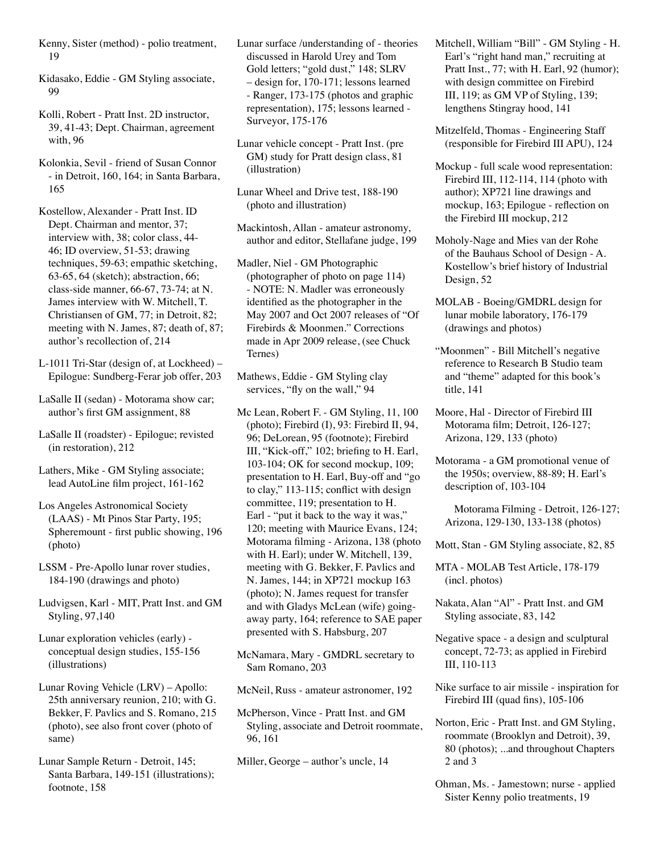- Kenny, Sister (method) polio treatment, 19
- Kidasako, Eddie GM Styling associate, 99
- Kolli, Robert Pratt Inst. 2D instructor, 39, 41-43; Dept. Chairman, agreement with, 96
- Kolonkia, Sevil friend of Susan Connor - in Detroit, 160, 164; in Santa Barbara, 165
- Kostellow, Alexander Pratt Inst. ID Dept. Chairman and mentor, 37; interview with, 38; color class, 44- 46; ID overview, 51-53; drawing techniques, 59-63; empathic sketching, 63-65, 64 (sketch); abstraction, 66; class-side manner, 66-67, 73-74; at N. James interview with W. Mitchell, T. Christiansen of GM, 77; in Detroit, 82; meeting with N. James, 87; death of, 87; author's recollection of, 214
- L-1011 Tri-Star (design of, at Lockheed) Epilogue: Sundberg-Ferar job offer, 203
- LaSalle II (sedan) Motorama show car; author's first GM assignment, 88
- LaSalle II (roadster) Epilogue; revisted (in restoration), 212
- Lathers, Mike GM Styling associate; lead AutoLine film project, 161-162
- Los Angeles Astronomical Society (LAAS) - Mt Pinos Star Party, 195; Spheremount - first public showing, 196 (photo)
- LSSM Pre-Apollo lunar rover studies, 184-190 (drawings and photo)
- Ludvigsen, Karl MIT, Pratt Inst. and GM Styling, 97,140
- Lunar exploration vehicles (early) conceptual design studies, 155-156 (illustrations)
- Lunar Roving Vehicle (LRV) Apollo: 25th anniversary reunion, 210; with G. Bekker, F. Pavlics and S. Romano, 215 (photo), see also front cover (photo of same)
- Lunar Sample Return Detroit, 145; Santa Barbara, 149-151 (illustrations); footnote, 158
- Lunar surface /understanding of theories discussed in Harold Urey and Tom Gold letters; "gold dust," 148; SLRV – design for, 170-171; lessons learned - Ranger, 173-175 (photos and graphic representation), 175; lessons learned - Surveyor, 175-176
- Lunar vehicle concept Pratt Inst. (pre GM) study for Pratt design class, 81 (illustration)
- Lunar Wheel and Drive test, 188-190 (photo and illustration)
- Mackintosh, Allan amateur astronomy, author and editor, Stellafane judge, 199
- Madler, Niel GM Photographic (photographer of photo on page 114) - NOTE: N. Madler was erroneously identified as the photographer in the May 2007 and Oct 2007 releases of "Of Firebirds & Moonmen." Corrections made in Apr 2009 release, (see Chuck Ternes)
- Mathews, Eddie GM Styling clay services, "fly on the wall," 94
- Mc Lean, Robert F. GM Styling, 11, 100 (photo); Firebird (I), 93: Firebird II, 94, 96; DeLorean, 95 (footnote); Firebird III, "Kick-off," 102; briefing to H. Earl, 103-104; OK for second mockup, 109; presentation to H. Earl, Buy-off and "go to clay," 113-115; conflict with design committee, 119; presentation to H. Earl - "put it back to the way it was," 120; meeting with Maurice Evans, 124; Motorama filming - Arizona, 138 (photo with H. Earl); under W. Mitchell, 139, meeting with G. Bekker, F. Pavlics and N. James, 144; in XP721 mockup 163 (photo); N. James request for transfer and with Gladys McLean (wife) goingaway party, 164; reference to SAE paper presented with S. Habsburg, 207
- McNamara, Mary GMDRL secretary to Sam Romano, 203
- McNeil, Russ amateur astronomer, 192
- McPherson, Vince Pratt Inst. and GM Styling, associate and Detroit roommate, 96, 161
- Miller, George author's uncle, 14
- Mitchell, William "Bill" GM Styling H. Earl's "right hand man," recruiting at Pratt Inst., 77; with H. Earl, 92 (humor); with design committee on Firebird III, 119; as GM VP of Styling, 139; lengthens Stingray hood, 141
- Mitzelfeld, Thomas Engineering Staff (responsible for Firebird III APU), 124
- Mockup full scale wood representation: Firebird III, 112-114, 114 (photo with author); XP721 line drawings and mockup, 163; Epilogue - reflection on the Firebird III mockup, 212
- Moholy-Nage and Mies van der Rohe of the Bauhaus School of Design - A. Kostellow's brief history of Industrial Design, 52
- MOLAB Boeing/GMDRL design for lunar mobile laboratory, 176-179 (drawings and photos)
- "Moonmen" Bill Mitchell's negative reference to Research B Studio team and "theme" adapted for this book's title, 141
- Moore, Hal Director of Firebird III Motorama film; Detroit, 126-127; Arizona, 129, 133 (photo)
- Motorama a GM promotional venue of the 1950s; overview, 88-89; H. Earl's description of, 103-104
	- Motorama Filming Detroit, 126-127; Arizona, 129-130, 133-138 (photos)
- Mott, Stan GM Styling associate, 82, 85
- MTA MOLAB Test Article, 178-179 (incl. photos)
- Nakata, Alan "Al" Pratt Inst. and GM Styling associate, 83, 142
- Negative space a design and sculptural concept, 72-73; as applied in Firebird III, 110-113
- Nike surface to air missile inspiration for Firebird III (quad fins), 105-106
- Norton, Eric Pratt Inst. and GM Styling, roommate (Brooklyn and Detroit), 39, 80 (photos); ...and throughout Chapters 2 and 3
- Ohman, Ms. Jamestown; nurse applied Sister Kenny polio treatments, 19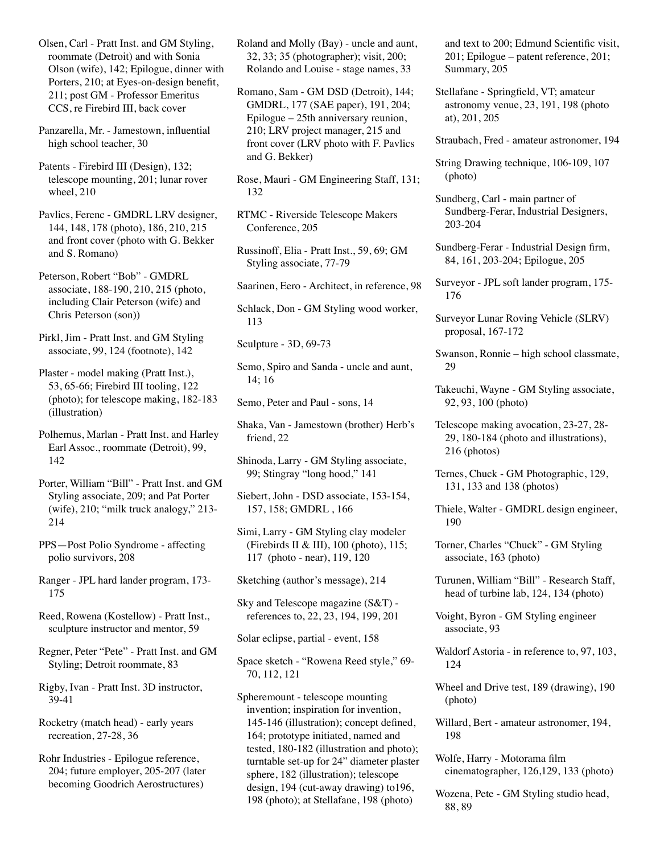Olsen, Carl - Pratt Inst. and GM Styling, roommate (Detroit) and with Sonia Olson (wife), 142; Epilogue, dinner with Porters, 210; at Eyes-on-design benefit, 211; post GM - Professor Emeritus CCS, re Firebird III, back cover

Panzarella, Mr. - Jamestown, influential high school teacher, 30

Patents - Firebird III (Design), 132; telescope mounting, 201; lunar rover wheel, 210

Pavlics, Ferenc - GMDRL LRV designer, 144, 148, 178 (photo), 186, 210, 215 and front cover (photo with G. Bekker and S. Romano)

Peterson, Robert "Bob" - GMDRL associate, 188-190, 210, 215 (photo, including Clair Peterson (wife) and Chris Peterson (son))

Pirkl, Jim - Pratt Inst. and GM Styling associate, 99, 124 (footnote), 142

Plaster - model making (Pratt Inst.), 53, 65-66; Firebird III tooling, 122 (photo); for telescope making, 182-183 (illustration)

Polhemus, Marlan - Pratt Inst. and Harley Earl Assoc., roommate (Detroit), 99, 142

Porter, William "Bill" - Pratt Inst. and GM Styling associate, 209; and Pat Porter (wife), 210; "milk truck analogy," 213- 214

PPS—Post Polio Syndrome - affecting polio survivors, 208

Ranger - JPL hard lander program, 173- 175

Reed, Rowena (Kostellow) - Pratt Inst., sculpture instructor and mentor, 59

Regner, Peter "Pete" - Pratt Inst. and GM Styling; Detroit roommate, 83

Rigby, Ivan - Pratt Inst. 3D instructor, 39-41

Rocketry (match head) - early years recreation, 27-28, 36

Rohr Industries - Epilogue reference, 204; future employer, 205-207 (later becoming Goodrich Aerostructures)

Roland and Molly (Bay) - uncle and aunt, 32, 33; 35 (photographer); visit, 200; Rolando and Louise - stage names, 33

Romano, Sam - GM DSD (Detroit), 144; GMDRL, 177 (SAE paper), 191, 204; Epilogue – 25th anniversary reunion, 210; LRV project manager, 215 and front cover (LRV photo with F. Pavlics and G. Bekker)

Rose, Mauri - GM Engineering Staff, 131; 132

RTMC - Riverside Telescope Makers Conference, 205

Russinoff, Elia - Pratt Inst., 59, 69; GM Styling associate, 77-79

Saarinen, Eero - Architect, in reference, 98

Schlack, Don - GM Styling wood worker, 113

Sculpture - 3D, 69-73

Semo, Spiro and Sanda - uncle and aunt, 14; 16

Semo, Peter and Paul - sons, 14

Shaka, Van - Jamestown (brother) Herb's friend, 22

Shinoda, Larry - GM Styling associate, 99; Stingray "long hood," 141

Siebert, John - DSD associate, 153-154, 157, 158; GMDRL , 166

Simi, Larry - GM Styling clay modeler (Firebirds II & III), 100 (photo), 115; 117 (photo - near), 119, 120

Sketching (author's message), 214

Sky and Telescope magazine (S&T) references to, 22, 23, 194, 199, 201

Solar eclipse, partial - event, 158

Space sketch - "Rowena Reed style," 69- 70, 112, 121

Spheremount - telescope mounting invention; inspiration for invention, 145-146 (illustration); concept defined, 164; prototype initiated, named and tested, 180-182 (illustration and photo); turntable set-up for 24" diameter plaster sphere, 182 (illustration); telescope design, 194 (cut-away drawing) to196, 198 (photo); at Stellafane, 198 (photo)

and text to 200; Edmund Scientific visit, 201; Epilogue – patent reference, 201; Summary, 205

Stellafane - Springfield, VT; amateur astronomy venue, 23, 191, 198 (photo at), 201, 205

Straubach, Fred - amateur astronomer, 194

String Drawing technique, 106-109, 107 (photo)

Sundberg, Carl - main partner of Sundberg-Ferar, Industrial Designers, 203-204

Sundberg-Ferar - Industrial Design firm, 84, 161, 203-204; Epilogue, 205

Surveyor - JPL soft lander program, 175- 176

Surveyor Lunar Roving Vehicle (SLRV) proposal, 167-172

Swanson, Ronnie – high school classmate, 29

Takeuchi, Wayne - GM Styling associate, 92, 93, 100 (photo)

Telescope making avocation, 23-27, 28- 29, 180-184 (photo and illustrations), 216 (photos)

Ternes, Chuck - GM Photographic, 129, 131, 133 and 138 (photos)

Thiele, Walter - GMDRL design engineer, 190

Torner, Charles "Chuck" - GM Styling associate, 163 (photo)

Turunen, William "Bill" - Research Staff, head of turbine lab, 124, 134 (photo)

Voight, Byron - GM Styling engineer associate, 93

Waldorf Astoria - in reference to, 97, 103, 124

Wheel and Drive test, 189 (drawing), 190 (photo)

Willard, Bert - amateur astronomer, 194, 198

Wolfe, Harry - Motorama film cinematographer, 126,129, 133 (photo)

Wozena, Pete - GM Styling studio head, 88, 89